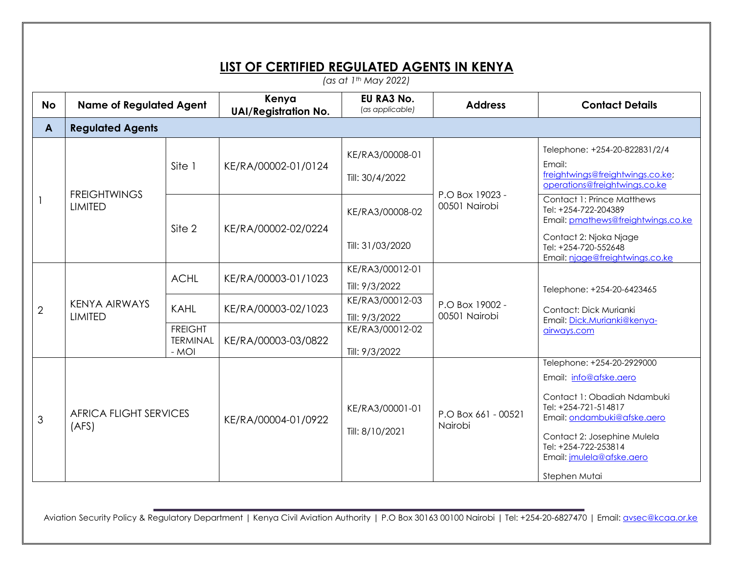## **LIST OF CERTIFIED REGULATED AGENTS IN KENYA**

*(as at 1th May 2022)*

| <b>No</b>      | <b>Name of Regulated Agent</b>           |                                                                 | Kenya<br><b>UAI/Registration No.</b>                              | EU RA3 No.<br>(as applicable)                                                             | <b>Address</b>                   | <b>Contact Details</b>                                                                                                                                                                                                                                                                        |  |
|----------------|------------------------------------------|-----------------------------------------------------------------|-------------------------------------------------------------------|-------------------------------------------------------------------------------------------|----------------------------------|-----------------------------------------------------------------------------------------------------------------------------------------------------------------------------------------------------------------------------------------------------------------------------------------------|--|
| A              | <b>Regulated Agents</b>                  |                                                                 |                                                                   |                                                                                           |                                  |                                                                                                                                                                                                                                                                                               |  |
|                | <b>FREIGHTWINGS</b><br><b>LIMITED</b>    | Site 1                                                          | KE/RA/00002-01/0124                                               | KE/RA3/00008-01<br>Till: 30/4/2022                                                        | P.O Box 19023 -<br>00501 Nairobi | Telephone: +254-20-822831/2/4<br>Email:<br>freightwings@freightwings.co.ke;<br>operations@freightwings.co.ke<br>Contact 1: Prince Matthews<br>Tel: +254-722-204389<br>Email: pmathews@freightwings.co.ke<br>Contact 2: Njoka Njage<br>Tel: +254-720-552648<br>Email: njage@freightwings.co.ke |  |
|                |                                          | Site 2                                                          | KE/RA/00002-02/0224                                               | KE/RA3/00008-02<br>Till: 31/03/2020                                                       |                                  |                                                                                                                                                                                                                                                                                               |  |
| $\overline{2}$ | <b>KENYA AIRWAYS</b><br><b>LIMITED</b>   | <b>ACHL</b><br><b>KAHL</b><br><b>FREIGHT</b><br><b>TERMINAL</b> | KE/RA/00003-01/1023<br>KE/RA/00003-02/1023<br>KE/RA/00003-03/0822 | KE/RA3/00012-01<br>Till: 9/3/2022<br>KE/RA3/00012-03<br>Till: 9/3/2022<br>KE/RA3/00012-02 | P.O Box 19002 -<br>00501 Nairobi | Telephone: +254-20-6423465<br>Contact: Dick Murianki<br>Email: Dick.Murianki@kenya-<br>airways.com                                                                                                                                                                                            |  |
| 3              | - MOI<br>AFRICA FLIGHT SERVICES<br>(AFS) |                                                                 | KE/RA/00004-01/0922                                               | Till: 9/3/2022<br>KE/RA3/00001-01<br>Till: 8/10/2021                                      | P.O Box 661 - 00521<br>Nairobi   | Telephone: +254-20-2929000<br>Email: info@afske.aero<br>Contact 1: Obadiah Ndambuki<br>Tel: +254-721-514817<br>Email: ondambuki@afske.aero<br>Contact 2: Josephine Mulela<br>Tel: +254-722-253814<br>Email: jmulela@afske.aero<br>Stephen Mutai                                               |  |

Aviation Security Policy & Regulatory Department | Kenya Civil Aviation Authority | P.O Box 30163 00100 Nairobi | Tel: +254-20-6827470 | Email[: avsec@kcaa.or.ke](mailto:avsec@kcaa.or.ke)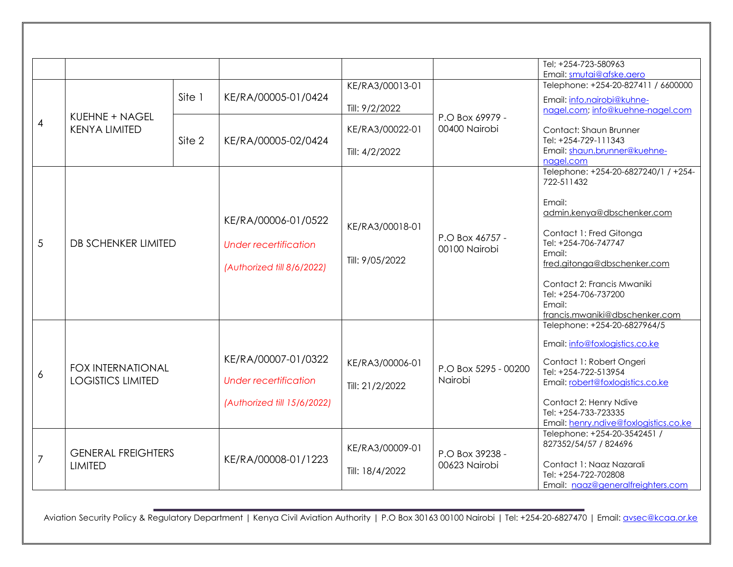|                |                                                      |        |                              |                 |                                                     | Tel; +254-723-580963                                                                           |
|----------------|------------------------------------------------------|--------|------------------------------|-----------------|-----------------------------------------------------|------------------------------------------------------------------------------------------------|
|                |                                                      |        |                              |                 |                                                     | Email: smutai@afske.aero                                                                       |
| $\overline{4}$ | KUEHNE + NAGEL<br><b>KENYA LIMITED</b>               |        |                              | KE/RA3/00013-01 |                                                     | Telephone: +254-20-827411 / 6600000                                                            |
|                |                                                      | Site 1 | KE/RA/00005-01/0424          | Till: 9/2/2022  | P.O Box 69979 -<br>00400 Nairobi                    | Email: info.nairobi@kuhne-<br>nagel.com; info@kuehne-nagel.com                                 |
|                |                                                      | Site 2 | KE/RA/00005-02/0424          | KE/RA3/00022-01 |                                                     | Contact: Shaun Brunner<br>Tel: +254-729-111343                                                 |
|                |                                                      |        |                              | Till: 4/2/2022  |                                                     | Email: shaun.brunner@kuehne-<br>nagel.com                                                      |
|                |                                                      |        |                              |                 |                                                     | Telephone: +254-20-6827240/1 / +254-<br>722-511432                                             |
|                | DB SCHENKER LIMITED                                  |        | KE/RA/00006-01/0522          |                 | KE/RA3/00018-01<br>P.O Box 46757 -<br>00100 Nairobi | Email:<br>admin.kenya@dbschenker.com                                                           |
| 5              |                                                      |        | <b>Under recertification</b> | Till: 9/05/2022 |                                                     | Contact 1: Fred Gitonga<br>Tel: +254-706-747747                                                |
|                |                                                      |        | (Authorized till 8/6/2022)   |                 |                                                     | Email:<br>fred.gitonga@dbschenker.com                                                          |
|                |                                                      |        |                              |                 |                                                     | Contact 2: Francis Mwaniki<br>Tel: +254-706-737200<br>Email:<br>francis.mwaniki@dbschenker.com |
|                |                                                      |        |                              |                 |                                                     | Telephone: +254-20-6827964/5                                                                   |
|                | <b>FOX INTERNATIONAL</b><br><b>LOGISTICS LIMITED</b> |        |                              |                 |                                                     | Email: info@foxlogistics.co.ke                                                                 |
| 6              |                                                      |        | KE/RA/00007-01/0322          | KE/RA3/00006-01 | P.O Box 5295 - 00200<br>Nairobi                     | Contact 1: Robert Ongeri<br>Tel: +254-722-513954                                               |
|                |                                                      |        | <b>Under recertification</b> | Till: 21/2/2022 |                                                     | Email: robert@foxlogistics.co.ke                                                               |
|                |                                                      |        | (Authorized till 15/6/2022)  |                 |                                                     | Contact 2: Henry Ndive<br>Tel: +254-733-723335<br>Email: henry.ndive@foxlogistics.co.ke        |
|                | <b>GENERAL FREIGHTERS</b><br><b>LIMITED</b>          |        | KE/RA/00008-01/1223          |                 | P.O Box 39238 -<br>00623 Nairobi                    | Telephone: +254-20-3542451 /<br>827352/54/57 / 824696                                          |
| $\overline{7}$ |                                                      |        |                              | KE/RA3/00009-01 |                                                     | Contact 1: Naaz Nazarali                                                                       |
|                |                                                      |        |                              | Till: 18/4/2022 |                                                     | Tel: +254-722-702808<br>Email: naaz@generalfreighters.com                                      |

Aviation Security Policy & Regulatory Department | Kenya Civil Aviation Authority | P.O Box 30163 00100 Nairobi | Tel: +254-20-6827470 | Email: **avsec@kcaa.or.ke**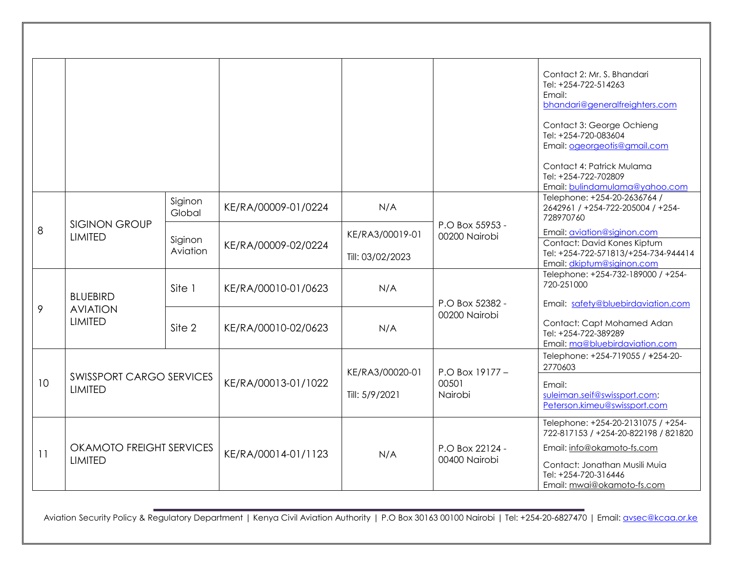|                 |                                                      |                     |                     |                  |                                     | Contact 2: Mr. S. Bhandari<br>Tel: +254-722-514263                                                |
|-----------------|------------------------------------------------------|---------------------|---------------------|------------------|-------------------------------------|---------------------------------------------------------------------------------------------------|
|                 |                                                      |                     |                     |                  |                                     | Email:                                                                                            |
|                 |                                                      |                     |                     |                  |                                     | bhandari@generalfreighters.com                                                                    |
|                 |                                                      |                     |                     |                  |                                     | Contact 3: George Ochieng<br>Tel: +254-720-083604<br>Email: ogeorgeotis@gmail.com                 |
|                 |                                                      |                     |                     |                  |                                     | Contact 4: Patrick Mulama<br>Tel: +254-722-702809<br>Email: bulindamulama@yahoo.com               |
|                 |                                                      | Siginon<br>Global   | KE/RA/00009-01/0224 | N/A              |                                     | Telephone: +254-20-2636764 /<br>2642961 / +254-722-205004 / +254-<br>728970760                    |
| 8               | <b>SIGINON GROUP</b><br><b>LIMITED</b>               | Siginon<br>Aviation | KE/RA/00009-02/0224 | KE/RA3/00019-01  | P.O Box 55953 -<br>00200 Nairobi    | Email: aviation@siginon.com                                                                       |
|                 |                                                      |                     |                     | Till: 03/02/2023 |                                     | Contact: David Kones Kiptum<br>Tel: +254-722-571813/+254-734-944414<br>Email: dkiptum@siginon.com |
|                 |                                                      |                     |                     | N/A              |                                     | Telephone: +254-732-189000 / +254-                                                                |
|                 |                                                      | Site 1              | KE/RA/00010-01/0623 |                  |                                     | 720-251000                                                                                        |
|                 | <b>BLUEBIRD</b><br><b>AVIATION</b><br><b>LIMITED</b> |                     |                     |                  | P.O Box 52382 -                     | Email: safety@bluebirdaviation.com                                                                |
| 9               |                                                      | Site 2              | KE/RA/00010-02/0623 | N/A              | 00200 Nairobi                       |                                                                                                   |
|                 |                                                      |                     |                     |                  |                                     | Contact: Capt Mohamed Adan<br>Tel: +254-722-389289                                                |
|                 |                                                      |                     |                     |                  |                                     | Email: ma@bluebirdaviation.com                                                                    |
|                 | <b>SWISSPORT CARGO SERVICES</b><br><b>LIMITED</b>    |                     | KE/RA/00013-01/1022 |                  | P.O Box 19177 -<br>00501<br>Nairobi | Telephone: +254-719055 / +254-20-                                                                 |
|                 |                                                      |                     |                     | KE/RA3/00020-01  |                                     | 2770603                                                                                           |
| 10 <sup>°</sup> |                                                      |                     |                     |                  |                                     | Email:                                                                                            |
|                 |                                                      |                     |                     | Till: 5/9/2021   |                                     | suleiman.seif@swissport.com;<br>Peterson.kimeu@swissport.com                                      |
| 11              | OKAMOTO FREIGHT SERVICES<br><b>LIMITED</b>           |                     | KE/RA/00014-01/1123 | N/A              | P.O Box 22124 -<br>00400 Nairobi    | Telephone: +254-20-2131075 / +254-<br>722-817153 / +254-20-822198 / 821820                        |
|                 |                                                      |                     |                     |                  |                                     | Email: info@okamoto-fs.com                                                                        |
|                 |                                                      |                     |                     |                  |                                     | Contact: Jonathan Musili Muia<br>Tel: +254-720-316446<br>Email: mwai@okamoto-fs.com               |

Aviation Security Policy & Regulatory Department | Kenya Civil Aviation Authority | P.O Box 30163 00100 Nairobi | Tel: +254-20-6827470 | Email: **avsec@kcaa.or.ke**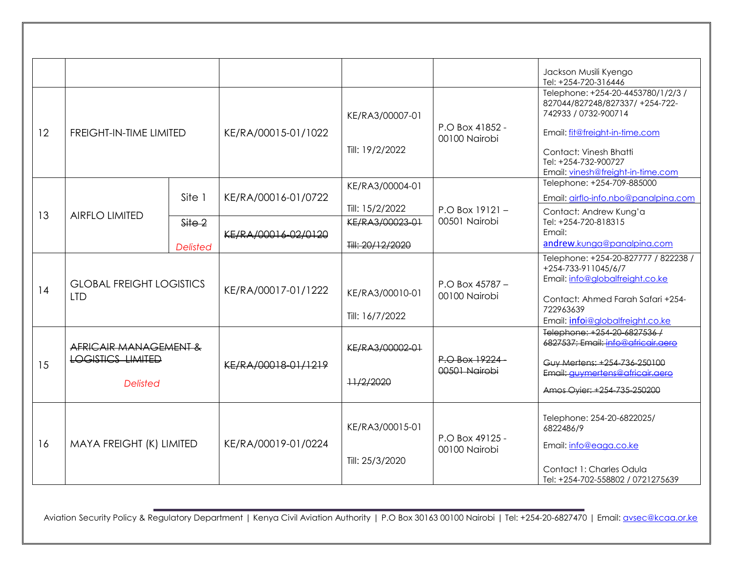|    |                                                                            |                 |                     |                  |                                  | Jackson Musili Kyengo<br>Tel: +254-720-316446                                                                                       |
|----|----------------------------------------------------------------------------|-----------------|---------------------|------------------|----------------------------------|-------------------------------------------------------------------------------------------------------------------------------------|
|    | <b>FREIGHT-IN-TIME LIMITED</b>                                             |                 | KE/RA/00015-01/1022 | KE/RA3/00007-01  | P.O Box 41852 -<br>00100 Nairobi | Telephone: +254-20-4453780/1/2/3 /<br>827044/827248/827337/ +254-722-<br>742933 / 0732-900714                                       |
| 12 |                                                                            |                 |                     |                  |                                  | Email: fit@freight-in-time.com                                                                                                      |
|    |                                                                            |                 |                     | Till: 19/2/2022  |                                  | Contact: Vinesh Bhatti<br>Tel: +254-732-900727<br>Email: vinesh@freight-in-time.com                                                 |
|    |                                                                            |                 |                     | KE/RA3/00004-01  |                                  | Telephone: +254-709-885000                                                                                                          |
|    |                                                                            | Site 1          | KE/RA/00016-01/0722 |                  |                                  | Email: airflo-info.nbo@panalpina.com                                                                                                |
| 13 | <b>AIRFLO LIMITED</b>                                                      |                 |                     | Till: 15/2/2022  | $P.O$ Box 19121 -                | Contact: Andrew Kung'a                                                                                                              |
|    |                                                                            | Site 2          | KE/RA/00016-02/0120 | KE/RA3/00023-01  | 00501 Nairobi                    | Tel: +254-720-818315<br>Email:                                                                                                      |
|    |                                                                            | <b>Delisted</b> |                     | Till: 20/12/2020 |                                  | andrew.kunga@panalpina.com                                                                                                          |
| 14 | <b>GLOBAL FREIGHT LOGISTICS</b><br><b>LTD</b>                              |                 | KE/RA/00017-01/1222 | KE/RA3/00010-01  | P.O Box 45787 -<br>00100 Nairobi | Telephone: +254-20-827777 / 822238 /<br>+254-733-911045/6/7<br>Email: info@globalfreight.co.ke<br>Contact: Ahmed Farah Safari +254- |
|    |                                                                            |                 |                     | Till: 16/7/2022  |                                  | 722963639<br>Email: infoi@globalfreight.co.ke                                                                                       |
|    | AFRICAIR MANAGEMENT &<br><b>LOGISTICS LIMITED</b><br>15<br><b>Delisted</b> |                 | KE/RA/00018-01/1219 | KE/RA3/00002-01  | P.O Box 19224-<br>00501 Nairobi  | Telephone: +254-20-6827536-/<br>6827537; Email: info@africair gero<br>Guy Mertens: +254-736-250100                                  |
|    |                                                                            |                 |                     | ++/2/2020        |                                  | Email: auvmertens@africair.aero<br>Amos Ovier: +254-735-250200                                                                      |
| 16 | MAYA FREIGHT (K) LIMITED                                                   |                 | KE/RA/00019-01/0224 | KE/RA3/00015-01  | P.O Box 49125 -<br>00100 Nairobi | Telephone: 254-20-6822025/<br>6822486/9                                                                                             |
|    |                                                                            |                 |                     | Till: 25/3/2020  |                                  | Email: info@eaga.co.ke<br>Contact 1: Charles Odula<br>Tel: +254-702-558802 / 0721275639                                             |

Aviation Security Policy & Regulatory Department | Kenya Civil Aviation Authority | P.O Box 30163 00100 Nairobi | Tel: +254-20-6827470 | Email: **avsec@kcaa.or.ke**